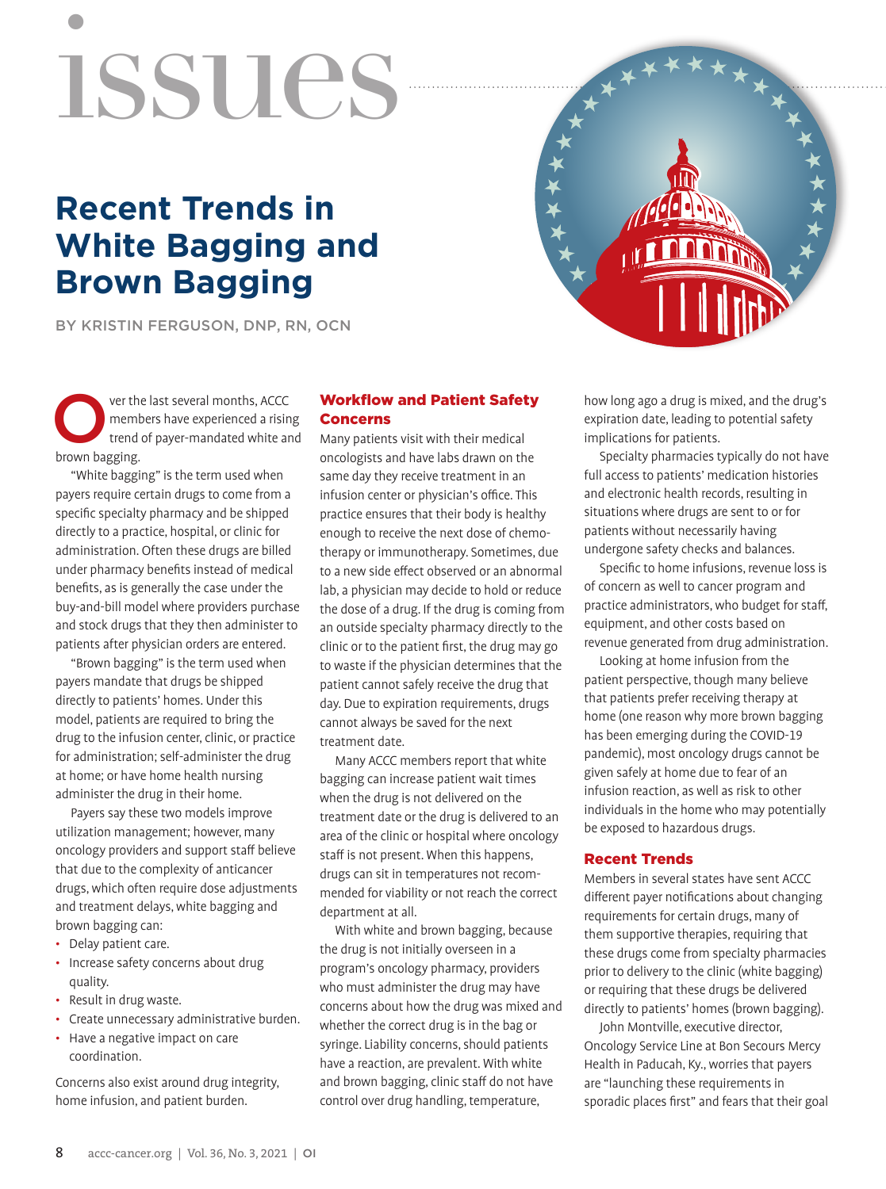# issues

# **Recent Trends in White Bagging and Brown Bagging**

BY KRISTIN FERGUSON, DNP, RN, OCN



"White bagging" is the term used when payers require certain drugs to come from a specific specialty pharmacy and be shipped directly to a practice, hospital, or clinic for administration. Often these drugs are billed under pharmacy benefits instead of medical benefits, as is generally the case under the buy-and-bill model where providers purchase and stock drugs that they then administer to patients after physician orders are entered.

"Brown bagging" is the term used when payers mandate that drugs be shipped directly to patients' homes. Under this model, patients are required to bring the drug to the infusion center, clinic, or practice for administration; self-administer the drug at home; or have home health nursing administer the drug in their home.

Payers say these two models improve utilization management; however, many oncology providers and support staff believe that due to the complexity of anticancer drugs, which often require dose adjustments and treatment delays, white bagging and brown bagging can:

- Delay patient care.
- Increase safety concerns about drug quality.
- Result in drug waste.
- Create unnecessary administrative burden.
- Have a negative impact on care coordination.

Concerns also exist around drug integrity, home infusion, and patient burden.

# Workflow and Patient Safety Concerns

Many patients visit with their medical oncologists and have labs drawn on the same day they receive treatment in an infusion center or physician's office. This practice ensures that their body is healthy enough to receive the next dose of chemotherapy or immunotherapy. Sometimes, due to a new side effect observed or an abnormal lab, a physician may decide to hold or reduce the dose of a drug. If the drug is coming from an outside specialty pharmacy directly to the clinic or to the patient first, the drug may go to waste if the physician determines that the patient cannot safely receive the drug that day. Due to expiration requirements, drugs cannot always be saved for the next treatment date.

Many ACCC members report that white bagging can increase patient wait times when the drug is not delivered on the treatment date or the drug is delivered to an area of the clinic or hospital where oncology staff is not present. When this happens, drugs can sit in temperatures not recommended for viability or not reach the correct department at all.

With white and brown bagging, because the drug is not initially overseen in a program's oncology pharmacy, providers who must administer the drug may have concerns about how the drug was mixed and whether the correct drug is in the bag or syringe. Liability concerns, should patients have a reaction, are prevalent. With white and brown bagging, clinic staff do not have control over drug handling, temperature,

how long ago a drug is mixed, and the drug's expiration date, leading to potential safety implications for patients.

Specialty pharmacies typically do not have full access to patients' medication histories and electronic health records, resulting in situations where drugs are sent to or for patients without necessarily having undergone safety checks and balances.

Specific to home infusions, revenue loss is of concern as well to cancer program and practice administrators, who budget for staff, equipment, and other costs based on revenue generated from drug administration.

Looking at home infusion from the patient perspective, though many believe that patients prefer receiving therapy at home (one reason why more brown bagging has been emerging during the COVID-19 pandemic), most oncology drugs cannot be given safely at home due to fear of an infusion reaction, as well as risk to other individuals in the home who may potentially be exposed to hazardous drugs.

## Recent Trends

Members in several states have sent ACCC different payer notifications about changing requirements for certain drugs, many of them supportive therapies, requiring that these drugs come from specialty pharmacies prior to delivery to the clinic (white bagging) or requiring that these drugs be delivered directly to patients' homes (brown bagging).

John Montville, executive director, Oncology Service Line at Bon Secours Mercy Health in Paducah, Ky., worries that payers are "launching these requirements in sporadic places first" and fears that their goal